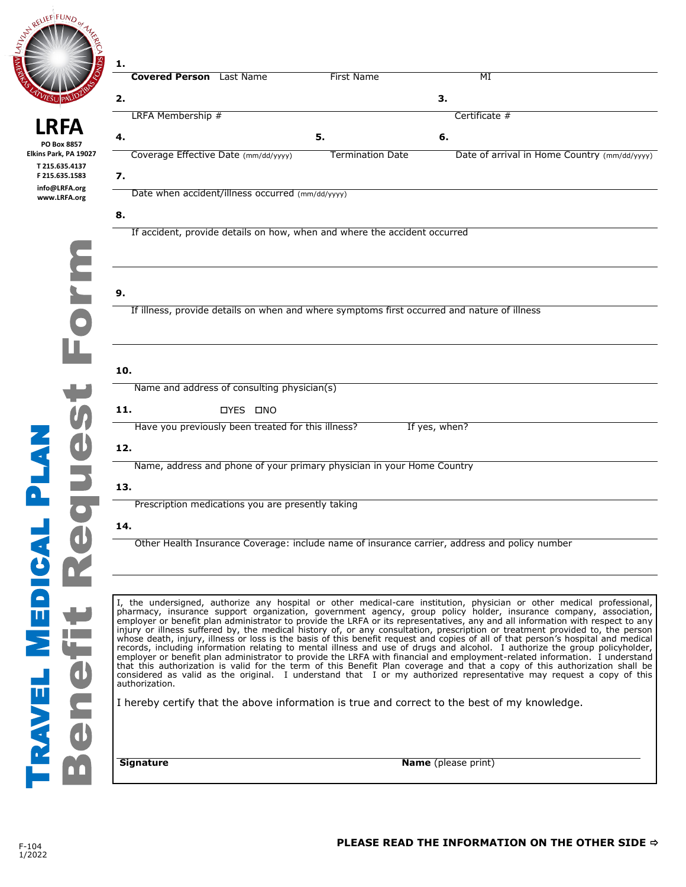

|                                                                     | 1.<br><b>Covered Person</b> Last Name                                                                                                                                                                                                                                                                                                                                         | <b>First Name</b>       | ΜI                         |                                                                                                                                                                                                                                                                                                                                                                                                   |
|---------------------------------------------------------------------|-------------------------------------------------------------------------------------------------------------------------------------------------------------------------------------------------------------------------------------------------------------------------------------------------------------------------------------------------------------------------------|-------------------------|----------------------------|---------------------------------------------------------------------------------------------------------------------------------------------------------------------------------------------------------------------------------------------------------------------------------------------------------------------------------------------------------------------------------------------------|
|                                                                     | 3.<br>2.                                                                                                                                                                                                                                                                                                                                                                      |                         |                            |                                                                                                                                                                                                                                                                                                                                                                                                   |
|                                                                     | LRFA Membership #                                                                                                                                                                                                                                                                                                                                                             |                         | Certificate #              |                                                                                                                                                                                                                                                                                                                                                                                                   |
| PO Box 8857                                                         | 4.                                                                                                                                                                                                                                                                                                                                                                            | 5.                      | 6.                         |                                                                                                                                                                                                                                                                                                                                                                                                   |
| Elkins Park, PA 19027<br>T 215.635.4137                             | Coverage Effective Date (mm/dd/yyyy)                                                                                                                                                                                                                                                                                                                                          | <b>Termination Date</b> |                            | Date of arrival in Home Country (mm/dd/yyyy)                                                                                                                                                                                                                                                                                                                                                      |
| F 215.635.1583                                                      | 7.                                                                                                                                                                                                                                                                                                                                                                            |                         |                            |                                                                                                                                                                                                                                                                                                                                                                                                   |
| info@LRFA.org<br>www.LRFA.org                                       | Date when accident/illness occurred (mm/dd/yyyy)                                                                                                                                                                                                                                                                                                                              |                         |                            |                                                                                                                                                                                                                                                                                                                                                                                                   |
|                                                                     | 8.                                                                                                                                                                                                                                                                                                                                                                            |                         |                            |                                                                                                                                                                                                                                                                                                                                                                                                   |
|                                                                     | If accident, provide details on how, when and where the accident occurred                                                                                                                                                                                                                                                                                                     |                         |                            |                                                                                                                                                                                                                                                                                                                                                                                                   |
|                                                                     |                                                                                                                                                                                                                                                                                                                                                                               |                         |                            |                                                                                                                                                                                                                                                                                                                                                                                                   |
|                                                                     | 9.                                                                                                                                                                                                                                                                                                                                                                            |                         |                            |                                                                                                                                                                                                                                                                                                                                                                                                   |
|                                                                     | If illness, provide details on when and where symptoms first occurred and nature of illness                                                                                                                                                                                                                                                                                   |                         |                            |                                                                                                                                                                                                                                                                                                                                                                                                   |
| Ō                                                                   |                                                                                                                                                                                                                                                                                                                                                                               |                         |                            |                                                                                                                                                                                                                                                                                                                                                                                                   |
|                                                                     |                                                                                                                                                                                                                                                                                                                                                                               |                         |                            |                                                                                                                                                                                                                                                                                                                                                                                                   |
|                                                                     | 10.                                                                                                                                                                                                                                                                                                                                                                           |                         |                            |                                                                                                                                                                                                                                                                                                                                                                                                   |
|                                                                     | Name and address of consulting physician(s)                                                                                                                                                                                                                                                                                                                                   |                         |                            |                                                                                                                                                                                                                                                                                                                                                                                                   |
|                                                                     | 11.<br><b>OYES ONO</b>                                                                                                                                                                                                                                                                                                                                                        |                         |                            |                                                                                                                                                                                                                                                                                                                                                                                                   |
| Have you previously been treated for this illness?<br>If yes, when? |                                                                                                                                                                                                                                                                                                                                                                               |                         |                            |                                                                                                                                                                                                                                                                                                                                                                                                   |
|                                                                     | 12.                                                                                                                                                                                                                                                                                                                                                                           |                         |                            |                                                                                                                                                                                                                                                                                                                                                                                                   |
|                                                                     | Name, address and phone of your primary physician in your Home Country                                                                                                                                                                                                                                                                                                        |                         |                            |                                                                                                                                                                                                                                                                                                                                                                                                   |
|                                                                     | 13.                                                                                                                                                                                                                                                                                                                                                                           |                         |                            |                                                                                                                                                                                                                                                                                                                                                                                                   |
|                                                                     | Prescription medications you are presently taking                                                                                                                                                                                                                                                                                                                             |                         |                            |                                                                                                                                                                                                                                                                                                                                                                                                   |
|                                                                     | 14.                                                                                                                                                                                                                                                                                                                                                                           |                         |                            |                                                                                                                                                                                                                                                                                                                                                                                                   |
|                                                                     | Other Health Insurance Coverage: include name of insurance carrier, address and policy number                                                                                                                                                                                                                                                                                 |                         |                            |                                                                                                                                                                                                                                                                                                                                                                                                   |
|                                                                     |                                                                                                                                                                                                                                                                                                                                                                               |                         |                            |                                                                                                                                                                                                                                                                                                                                                                                                   |
|                                                                     |                                                                                                                                                                                                                                                                                                                                                                               |                         |                            |                                                                                                                                                                                                                                                                                                                                                                                                   |
|                                                                     | I, the undersigned, authorize any hospital or other medical-care institution, physician or other medical professional,<br>pharmacy, insurance support organization, government agency, group policy holder, insurance company, association,<br>employer or benefit plan administrator to provide the LRFA or its representatives, any and all information with respect to any |                         |                            |                                                                                                                                                                                                                                                                                                                                                                                                   |
|                                                                     |                                                                                                                                                                                                                                                                                                                                                                               |                         |                            | injury or illness suffered by, the medical history of, or any consultation, prescription or treatment provided to, the person<br>whose death, injury, illness or loss is the basis of this benefit request and copies of all of that person's hospital and medical<br>records, including information relating to mental illness and use of drugs and alcohol. I authorize the group policyholder, |
|                                                                     |                                                                                                                                                                                                                                                                                                                                                                               |                         |                            | employer or benefit plan administrator to provide the LRFA with financial and employment-related information. I understand<br>that this authorization is valid for the term of this Benefit Plan coverage and that a copy of this authorization shall be                                                                                                                                          |
|                                                                     | authorization.                                                                                                                                                                                                                                                                                                                                                                |                         |                            | considered as valid as the original. I understand that I or my authorized representative may request a copy of this                                                                                                                                                                                                                                                                               |
|                                                                     | I hereby certify that the above information is true and correct to the best of my knowledge.                                                                                                                                                                                                                                                                                  |                         |                            |                                                                                                                                                                                                                                                                                                                                                                                                   |
| <b>RAV</b>                                                          |                                                                                                                                                                                                                                                                                                                                                                               |                         |                            |                                                                                                                                                                                                                                                                                                                                                                                                   |
|                                                                     |                                                                                                                                                                                                                                                                                                                                                                               |                         |                            |                                                                                                                                                                                                                                                                                                                                                                                                   |
|                                                                     | <b>Signature</b>                                                                                                                                                                                                                                                                                                                                                              |                         | <b>Name</b> (please print) |                                                                                                                                                                                                                                                                                                                                                                                                   |
|                                                                     |                                                                                                                                                                                                                                                                                                                                                                               |                         |                            |                                                                                                                                                                                                                                                                                                                                                                                                   |